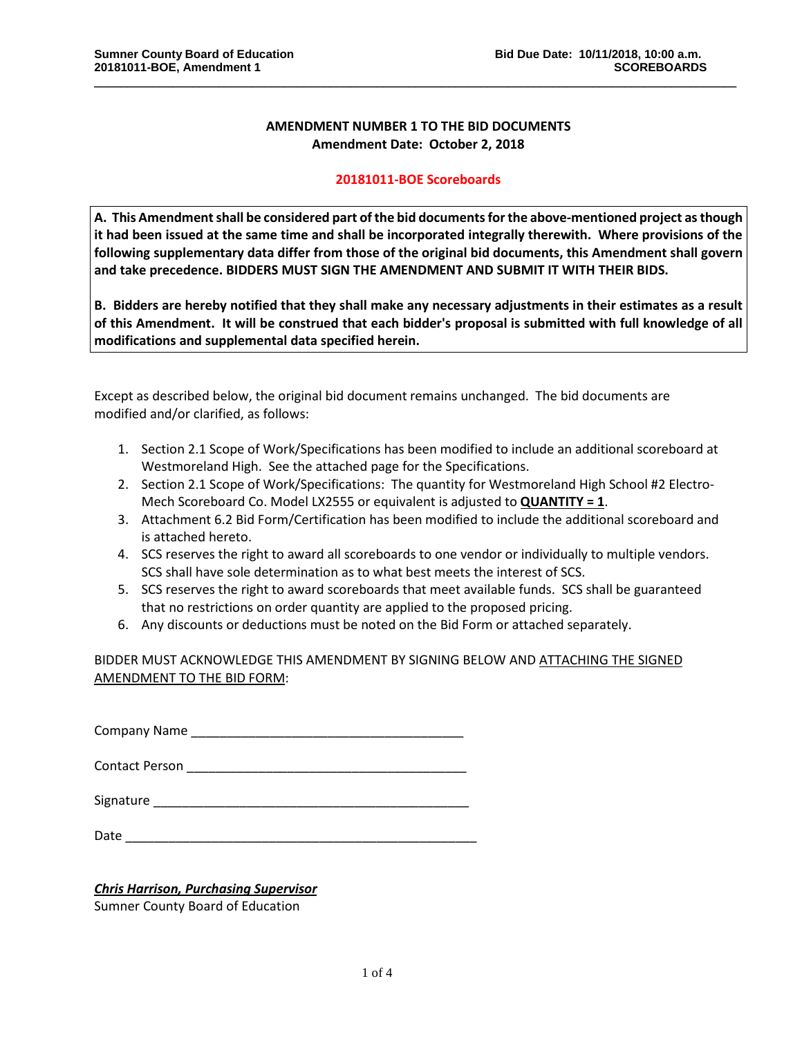## **AMENDMENT NUMBER 1 TO THE BID DOCUMENTS Amendment Date: October 2, 2018**

\_\_\_\_\_\_\_\_\_\_\_\_\_\_\_\_\_\_\_\_\_\_\_\_\_\_\_\_\_\_\_\_\_\_\_\_\_\_\_\_\_\_\_\_\_\_\_\_\_\_\_\_\_\_\_\_\_\_\_\_\_\_\_\_\_\_\_\_\_\_\_\_\_\_\_\_\_\_\_\_\_\_\_\_\_\_\_\_\_\_\_\_\_\_\_\_\_\_

## **20181011-BOE Scoreboards**

**A. This Amendment shall be considered part of the bid documents for the above-mentioned project as though it had been issued at the same time and shall be incorporated integrally therewith. Where provisions of the following supplementary data differ from those of the original bid documents, this Amendment shall govern and take precedence. BIDDERS MUST SIGN THE AMENDMENT AND SUBMIT IT WITH THEIR BIDS.**

**B. Bidders are hereby notified that they shall make any necessary adjustments in their estimates as a result of this Amendment. It will be construed that each bidder's proposal is submitted with full knowledge of all modifications and supplemental data specified herein.**

Except as described below, the original bid document remains unchanged. The bid documents are modified and/or clarified, as follows:

- 1. Section 2.1 Scope of Work/Specifications has been modified to include an additional scoreboard at Westmoreland High. See the attached page for the Specifications.
- 2. Section 2.1 Scope of Work/Specifications: The quantity for Westmoreland High School #2 Electro-Mech Scoreboard Co. Model LX2555 or equivalent is adjusted to **QUANTITY = 1**.
- 3. Attachment 6.2 Bid Form/Certification has been modified to include the additional scoreboard and is attached hereto.
- 4. SCS reserves the right to award all scoreboards to one vendor or individually to multiple vendors. SCS shall have sole determination as to what best meets the interest of SCS.
- 5. SCS reserves the right to award scoreboards that meet available funds. SCS shall be guaranteed that no restrictions on order quantity are applied to the proposed pricing.
- 6. Any discounts or deductions must be noted on the Bid Form or attached separately.

BIDDER MUST ACKNOWLEDGE THIS AMENDMENT BY SIGNING BELOW AND ATTACHING THE SIGNED AMENDMENT TO THE BID FORM:

Company Name **company**  $\blacksquare$ 

Contact Person **Exercise 20** 

Signature \_\_\_\_\_\_\_\_\_\_\_\_\_\_\_\_\_\_\_\_\_\_\_\_\_\_\_\_\_\_\_\_\_\_\_\_\_\_\_\_\_\_\_\_

Date \_\_\_\_\_\_\_\_\_\_\_\_\_\_\_\_\_\_\_\_\_\_\_\_\_\_\_\_\_\_\_\_\_\_\_\_\_\_\_\_\_\_\_\_\_\_\_\_\_

## *Chris Harrison, Purchasing Supervisor*

Sumner County Board of Education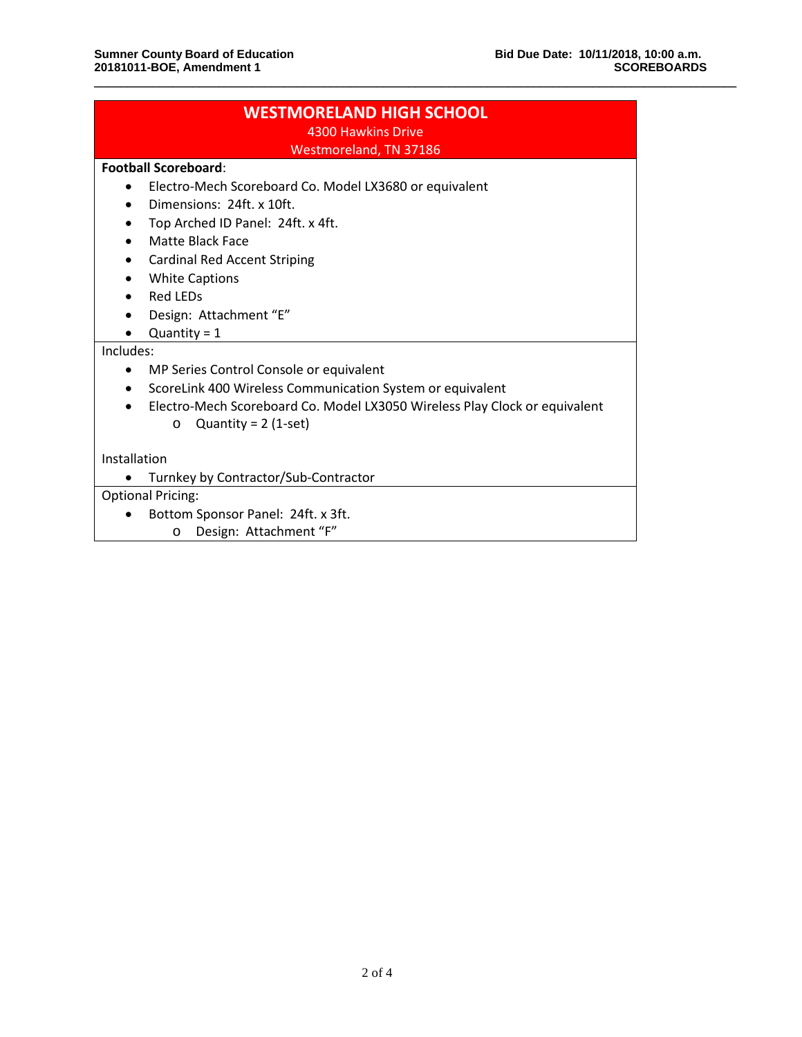| <b>WESTMORELAND HIGH SCHOOL</b><br>4300 Hawkins Drive                                   |  |  |
|-----------------------------------------------------------------------------------------|--|--|
| Westmoreland, TN 37186                                                                  |  |  |
| <b>Football Scoreboard:</b>                                                             |  |  |
| Electro-Mech Scoreboard Co. Model LX3680 or equivalent<br>$\bullet$                     |  |  |
| Dimensions: 24ft x 10ft.<br>$\bullet$                                                   |  |  |
| Top Arched ID Panel: 24ft. x 4ft.<br>٠                                                  |  |  |
| Matte Black Face<br>$\bullet$                                                           |  |  |
| <b>Cardinal Red Accent Striping</b><br>٠                                                |  |  |
| <b>White Captions</b><br>$\bullet$                                                      |  |  |
| <b>Red LEDs</b><br>$\bullet$                                                            |  |  |
| Design: Attachment "E"                                                                  |  |  |
| Quantity = $1$                                                                          |  |  |
| Includes:                                                                               |  |  |
| MP Series Control Console or equivalent<br>$\bullet$                                    |  |  |
| ScoreLink 400 Wireless Communication System or equivalent<br>$\bullet$                  |  |  |
| Electro-Mech Scoreboard Co. Model LX3050 Wireless Play Clock or equivalent<br>$\bullet$ |  |  |
| Quantity = $2$ (1-set)<br>$\circ$                                                       |  |  |
| Installation                                                                            |  |  |
| Turnkey by Contractor/Sub-Contractor                                                    |  |  |
| <b>Optional Pricing:</b>                                                                |  |  |
| Bottom Sponsor Panel: 24ft. x 3ft.                                                      |  |  |
| Design: Attachment "F"<br>$\circ$                                                       |  |  |

\_\_\_\_\_\_\_\_\_\_\_\_\_\_\_\_\_\_\_\_\_\_\_\_\_\_\_\_\_\_\_\_\_\_\_\_\_\_\_\_\_\_\_\_\_\_\_\_\_\_\_\_\_\_\_\_\_\_\_\_\_\_\_\_\_\_\_\_\_\_\_\_\_\_\_\_\_\_\_\_\_\_\_\_\_\_\_\_\_\_\_\_\_\_\_\_\_\_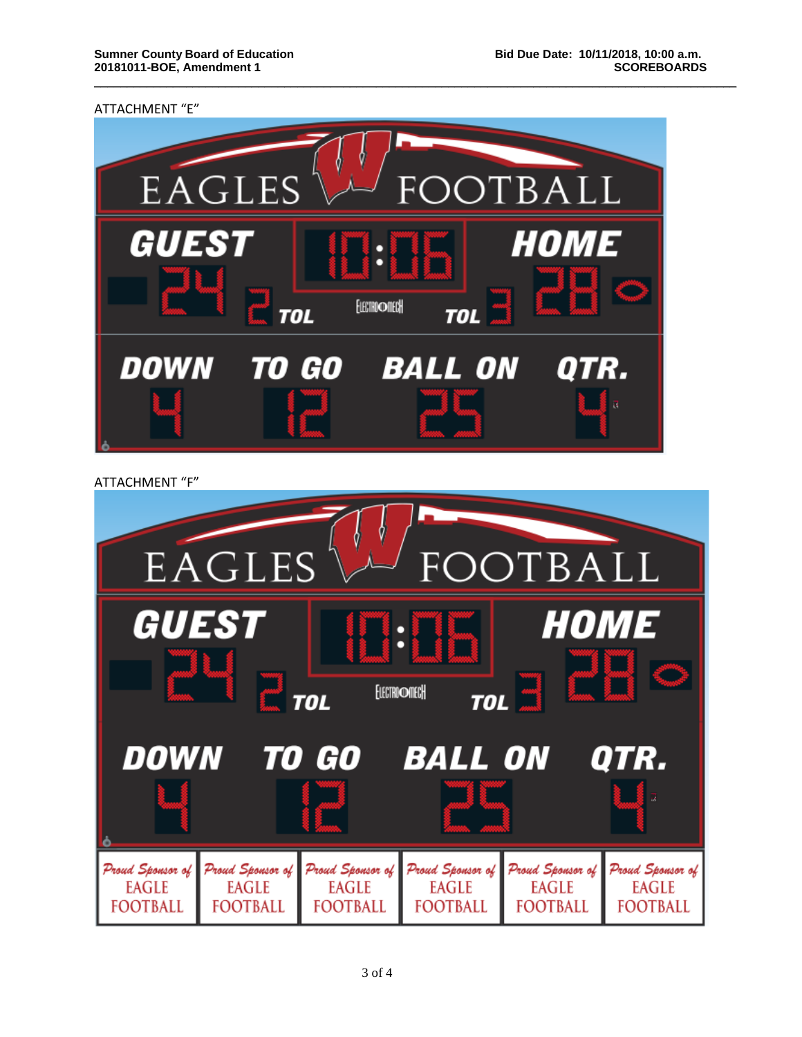ATTACHMENT "E"



\_\_\_\_\_\_\_\_\_\_\_\_\_\_\_\_\_\_\_\_\_\_\_\_\_\_\_\_\_\_\_\_\_\_\_\_\_\_\_\_\_\_\_\_\_\_\_\_\_\_\_\_\_\_\_\_\_\_\_\_\_\_\_\_\_\_\_\_\_\_\_\_\_\_\_\_\_\_\_\_\_\_\_\_\_\_\_\_\_\_\_\_\_\_\_\_\_\_

ATTACHMENT "F"